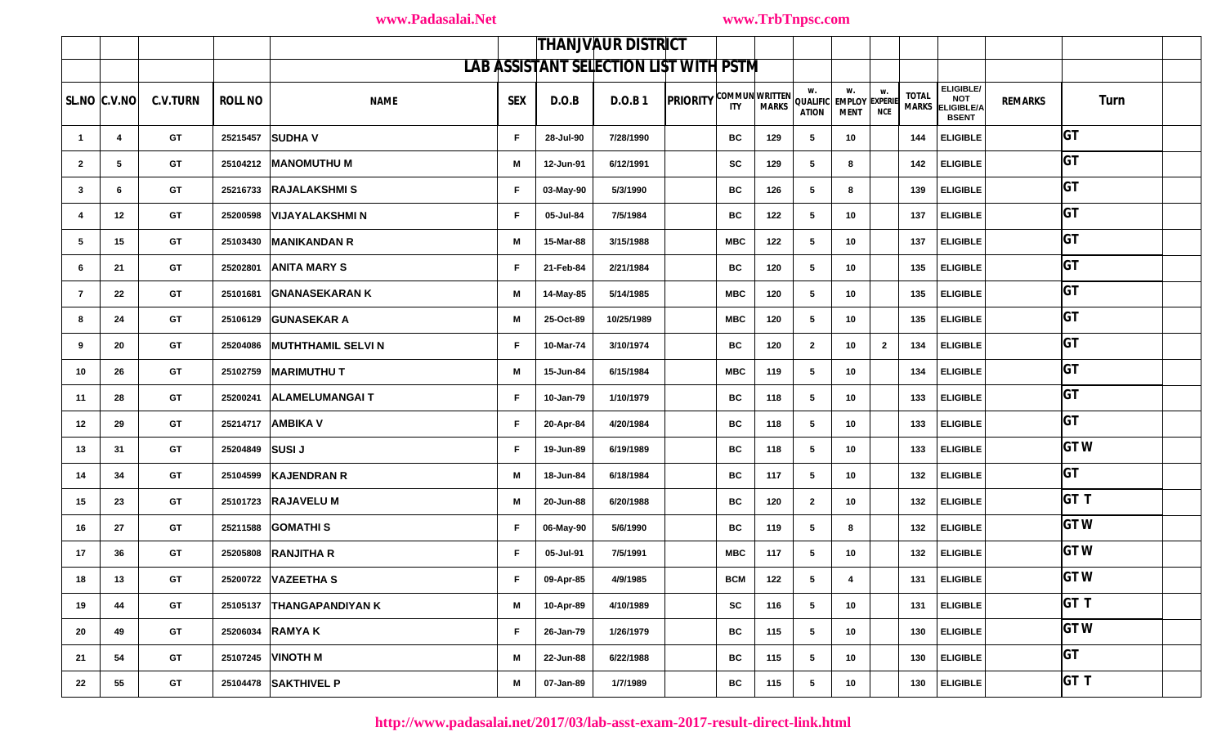|                | <b>THANJVAUR DISTRICT</b>                     |                 |                 |                             |            |           |            |                                |            |     |                    |                                              |                  |                              |                                                       |                |            |  |
|----------------|-----------------------------------------------|-----------------|-----------------|-----------------------------|------------|-----------|------------|--------------------------------|------------|-----|--------------------|----------------------------------------------|------------------|------------------------------|-------------------------------------------------------|----------------|------------|--|
|                | <b>LAB ASSISTANT SELECTION LIST WITH PSTM</b> |                 |                 |                             |            |           |            |                                |            |     |                    |                                              |                  |                              |                                                       |                |            |  |
|                | $SLNO$ $ C.V.NO $                             | <b>C.V.TURN</b> | <b>ROLL NO</b>  | <b>NAME</b>                 | <b>SEX</b> | D.O.B     | D.O.B.1    | <b>PRIORITY COMMUN WRITTEN</b> |            |     | w.<br><b>ATION</b> | w.<br>QUALIFIC EMPLOY EXPERIE<br><b>MENT</b> | W.<br><b>NCE</b> | <b>TOTAL</b><br><b>MARKS</b> | ELIGIBLE/<br>NOT<br><b>ELIGIBLE/A</b><br><b>BSENT</b> | <b>REMARKS</b> | Turn       |  |
| $\overline{1}$ | $\overline{4}$                                | GT              |                 | 25215457 SUDHA V            | F.         | 28-Jul-90 | 7/28/1990  |                                | ВC         | 129 | 5                  | 10                                           |                  | 144                          | <b>ELIGIBLE</b>                                       |                | <b>GT</b>  |  |
| $\overline{2}$ | $5\overline{5}$                               | GT              |                 | 25104212 MANOMUTHU M        | M          | 12-Jun-91 | 6/12/1991  |                                | SC         | 129 | 5                  | 8                                            |                  | 142                          | <b>ELIGIBLE</b>                                       |                | <b>GT</b>  |  |
| 3              | 6                                             | GT              |                 | 25216733 RAJALAKSHMIS       | F.         | 03-May-90 | 5/3/1990   |                                | BC         | 126 | 5                  | 8                                            |                  | 139                          | <b>ELIGIBLE</b>                                       |                | <b>GT</b>  |  |
| -4             | 12                                            | GT              |                 | 25200598 VIJAYALAKSHMI N    | F.         | 05-Jul-84 | 7/5/1984   |                                | BC         | 122 | 5                  | 10                                           |                  | 137                          | <b>ELIGIBLE</b>                                       |                | <b>GT</b>  |  |
| 5              | 15                                            | GT              |                 | 25103430 MANIKANDAN R       | M          | 15-Mar-88 | 3/15/1988  |                                | <b>MBC</b> | 122 | 5                  | 10                                           |                  | 137                          | <b>ELIGIBLE</b>                                       |                | <b>GT</b>  |  |
| 6              | 21                                            | GT              | 25202801        | <b>ANITA MARY S</b>         | F.         | 21-Feb-84 | 2/21/1984  |                                | BC         | 120 | 5                  | 10                                           |                  | 135                          | <b>ELIGIBLE</b>                                       |                | <b>GT</b>  |  |
| $\overline{7}$ | 22                                            | GT              |                 | 25101681 GNANASEKARAN K     | M          | 14-May-85 | 5/14/1985  |                                | <b>MBC</b> | 120 | 5                  | 10                                           |                  | 135                          | <b>ELIGIBLE</b>                                       |                | <b>GT</b>  |  |
| 8              | 24                                            | GT              |                 | 25106129 GUNASEKAR A        | M          | 25-Oct-89 | 10/25/1989 |                                | <b>MBC</b> | 120 | 5                  | 10                                           |                  | 135                          | <b>ELIGIBLE</b>                                       |                | <b>GT</b>  |  |
| 9              | 20                                            | GT              |                 | 25204086 MUTHTHAMIL SELVI N | F.         | 10-Mar-74 | 3/10/1974  |                                | BC         | 120 | $\overline{2}$     | 10                                           | $\overline{2}$   | 134                          | <b>ELIGIBLE</b>                                       |                | <b>GT</b>  |  |
| 10             | 26                                            | GT              |                 | 25102759 MARIMUTHU T        | M          | 15-Jun-84 | 6/15/1984  |                                | <b>MBC</b> | 119 | 5                  | 10                                           |                  | 134                          | <b>ELIGIBLE</b>                                       |                | <b>GT</b>  |  |
| 11             | 28                                            | GT              |                 | 25200241 ALAMELUMANGAIT     | F.         | 10-Jan-79 | 1/10/1979  |                                | BC         | 118 | 5                  | 10                                           |                  | 133                          | <b>ELIGIBLE</b>                                       |                | <b>GT</b>  |  |
| 12             | 29                                            | <b>GT</b>       |                 | 25214717 AMBIKA V           | F.         | 20-Apr-84 | 4/20/1984  |                                | BC         | 118 | 5                  | 10                                           |                  | 133                          | <b>ELIGIBLE</b>                                       |                | <b>GT</b>  |  |
| 13             | 31                                            | GT              | 25204849 SUSI J |                             | F.         | 19-Jun-89 | 6/19/1989  |                                | BC         | 118 | 5                  | 10                                           |                  | 133                          | <b>ELIGIBLE</b>                                       |                | <b>GTW</b> |  |
| 14             | 34                                            | GT              |                 | 25104599 KAJENDRAN R        | M          | 18-Jun-84 | 6/18/1984  |                                | BC         | 117 | 5                  | 10                                           |                  | 132                          | <b>ELIGIBLE</b>                                       |                | <b>GT</b>  |  |
| 15             | 23                                            | GT              |                 | 25101723 RAJAVELU M         | M          | 20-Jun-88 | 6/20/1988  |                                | BC         | 120 | $\mathbf{2}$       | 10                                           |                  | 132                          | <b>ELIGIBLE</b>                                       |                | GT T       |  |
| 16             | 27                                            | GT              |                 | 25211588 GOMATHI S          | F.         | 06-May-90 | 5/6/1990   |                                | BC         | 119 | 5                  | 8                                            |                  | 132                          | <b>ELIGIBLE</b>                                       |                | <b>GTW</b> |  |
| 17             | 36                                            | GT              |                 | 25205808 RANJITHA R         | F.         | 05-Jul-91 | 7/5/1991   |                                | <b>MBC</b> | 117 | 5                  | 10                                           |                  | 132                          | <b>ELIGIBLE</b>                                       |                | <b>GTW</b> |  |
| 18             | 13                                            | <b>GT</b>       |                 | 25200722 VAZEETHA S         | F.         | 09-Apr-85 | 4/9/1985   |                                | BCM        | 122 | 5 <sub>5</sub>     | 4                                            |                  |                              | 131   ELIGIBLE                                        |                | GT W       |  |
| 19             | 44                                            | <b>GT</b>       |                 | 25105137 THANGAPANDIYAN K   | M          | 10-Apr-89 | 4/10/1989  |                                | SC         | 116 | $5\overline{ }$    | 10                                           |                  |                              | 131   ELIGIBLE                                        |                | GTT        |  |
| 20             | 49                                            | <b>GT</b>       |                 | 25206034 RAMYA K            | F.         | 26-Jan-79 | 1/26/1979  |                                | BC         | 115 | 5                  | 10 <sub>1</sub>                              |                  |                              | 130 ELIGIBLE                                          |                | <b>GTW</b> |  |
| 21             | 54                                            | GT              |                 | 25107245 VINOTH M           | M          | 22-Jun-88 | 6/22/1988  |                                | BC         | 115 | $5^{\circ}$        | 10 <sub>1</sub>                              |                  |                              | 130 ELIGIBLE                                          |                | <b>GT</b>  |  |
| 22             | 55                                            | <b>GT</b>       |                 | 25104478 SAKTHIVEL P        | М          | 07-Jan-89 | 1/7/1989   |                                | BC         | 115 | $5\phantom{.0}$    | 10                                           |                  |                              | 130 ELIGIBLE                                          |                | <b>GTT</b> |  |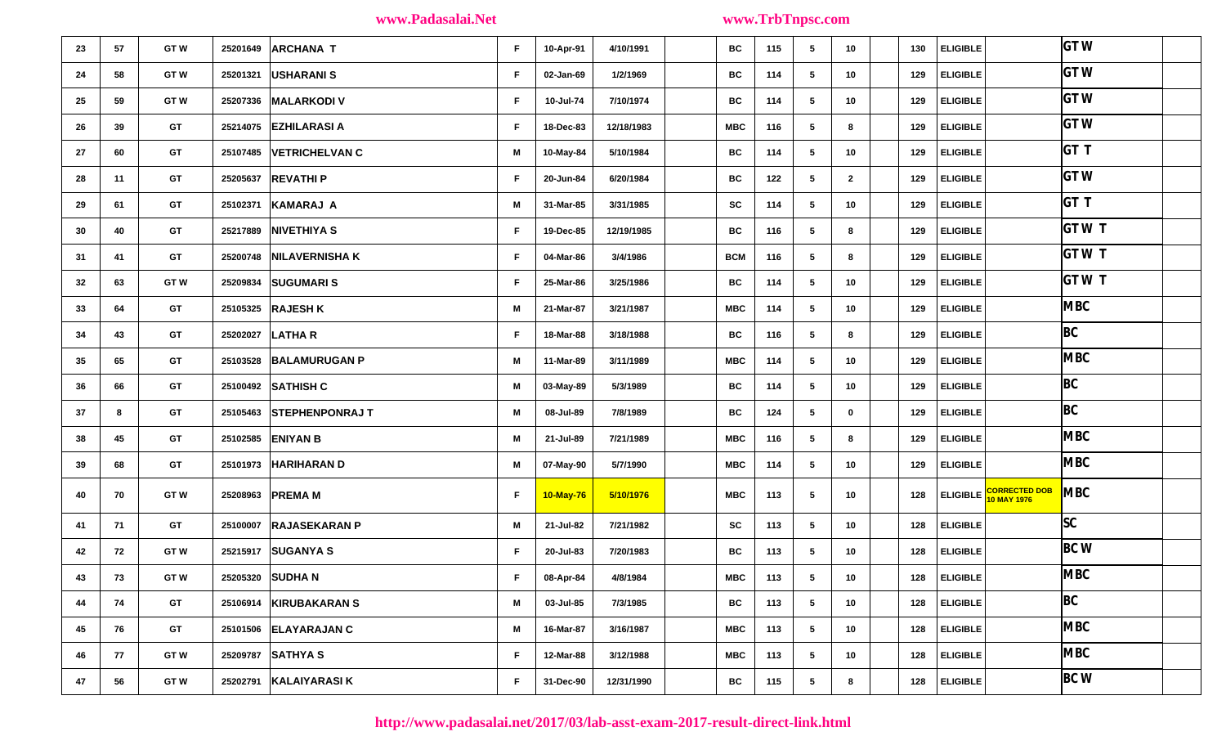| 23 | 57 | <b>GTW</b> |          | 25201649 ARCHANA T       | F. | 10-Apr-91 | 4/10/1991  | BC         | 115 | 5               | 10 <sub>1</sub> | 130 | <b>ELIGIBLE</b> |                        | <b>GTW</b>  |
|----|----|------------|----------|--------------------------|----|-----------|------------|------------|-----|-----------------|-----------------|-----|-----------------|------------------------|-------------|
| 24 | 58 | <b>GTW</b> | 25201321 | USHARANI S               | F. | 02-Jan-69 | 1/2/1969   | BC         | 114 | 5               | 10 <sub>1</sub> | 129 | <b>ELIGIBLE</b> |                        | <b>GTW</b>  |
| 25 | 59 | <b>GTW</b> | 25207336 | <b>MALARKODI V</b>       | F. | 10-Jul-74 | 7/10/1974  | BC         | 114 | 5               | 10 <sub>1</sub> | 129 | <b>ELIGIBLE</b> |                        | <b>GTW</b>  |
| 26 | 39 | GT         | 25214075 | <b>EZHILARASI A</b>      | F. | 18-Dec-83 | 12/18/1983 | <b>MBC</b> | 116 | 5               | 8               | 129 | <b>ELIGIBLE</b> |                        | <b>GTW</b>  |
| 27 | 60 | <b>GT</b>  | 25107485 | <b>VETRICHELVAN C</b>    | M  | 10-May-84 | 5/10/1984  | BC         | 114 | 5               | 10 <sub>1</sub> | 129 | <b>ELIGIBLE</b> |                        | GT T        |
| 28 | 11 | <b>GT</b>  | 25205637 | <b>REVATHIP</b>          | F. | 20-Jun-84 | 6/20/1984  | BC         | 122 | 5               | $\mathbf{2}$    | 129 | <b>ELIGIBLE</b> |                        | <b>GTW</b>  |
| 29 | 61 | <b>GT</b>  | 25102371 | KAMARAJ A                | M  | 31-Mar-85 | 3/31/1985  | <b>SC</b>  | 114 | 5               | 10              | 129 | <b>ELIGIBLE</b> |                        | GT T        |
| 30 | 40 | GT         |          | 25217889 NIVETHIYA S     | F. | 19-Dec-85 | 12/19/1985 | BC         | 116 | $5\overline{5}$ | 8               | 129 | <b>ELIGIBLE</b> |                        | GT W T      |
| 31 | 41 | GT         | 25200748 | <b>NILAVERNISHA K</b>    | F. | 04-Mar-86 | 3/4/1986   | <b>BCM</b> | 116 | 5               | 8               | 129 | <b>ELIGIBLE</b> |                        | GT W T      |
| 32 | 63 | <b>GTW</b> |          | 25209834 SUGUMARI S      | F. | 25-Mar-86 | 3/25/1986  | BC         | 114 | 5               | 10 <sub>1</sub> | 129 | <b>ELIGIBLE</b> |                        | <b>GTWT</b> |
| 33 | 64 | GT         |          | 25105325 RAJESH K        | М  | 21-Mar-87 | 3/21/1987  | <b>MBC</b> | 114 | 5               | 10 <sub>1</sub> | 129 | <b>ELIGIBLE</b> |                        | <b>MBC</b>  |
| 34 | 43 | <b>GT</b>  | 25202027 | <b>LATHAR</b>            | F. | 18-Mar-88 | 3/18/1988  | BC         | 116 | 5               | 8               | 129 | <b>ELIGIBLE</b> |                        | BC          |
| 35 | 65 | <b>GT</b>  | 25103528 | <b>BALAMURUGAN P</b>     | М  | 11-Mar-89 | 3/11/1989  | MBC        | 114 | 5               | 10 <sub>1</sub> | 129 | <b>ELIGIBLE</b> |                        | <b>MBC</b>  |
| 36 | 66 | <b>GT</b>  |          | 25100492 SATHISH C       | M  | 03-May-89 | 5/3/1989   | BC         | 114 | 5               | 10              | 129 | <b>ELIGIBLE</b> |                        | BC          |
| 37 | 8  | <b>GT</b>  |          | 25105463 STEPHENPONRAJ T | М  | 08-Jul-89 | 7/8/1989   | BC         | 124 | 5               | $\mathbf 0$     | 129 | <b>ELIGIBLE</b> |                        | BC          |
| 38 | 45 | GT         |          | 25102585 <b>ENIYAN B</b> | M  | 21-Jul-89 | 7/21/1989  | MBC        | 116 | 5               | 8               | 129 | <b>ELIGIBLE</b> |                        | <b>MBC</b>  |
| 39 | 68 | GT         |          | 25101973 HARIHARAN D     | M  | 07-May-90 | 5/7/1990   | <b>MBC</b> | 114 | 5               | 10 <sub>1</sub> | 129 | <b>ELIGIBLE</b> |                        | <b>MBC</b>  |
| 40 | 70 | <b>GTW</b> | 25208963 | <b>PREMAM</b>            | F. | 10-May-76 | 5/10/1976  | <b>MBC</b> | 113 | 5               | 10              | 128 |                 | ELIGIBLE CORRECTED DOB | <b>MBC</b>  |
| 41 | 71 | <b>GT</b>  | 25100007 | <b>RAJASEKARAN P</b>     | M  | 21-Jul-82 | 7/21/1982  | SC         | 113 | 5               | 10 <sup>1</sup> | 128 | <b>ELIGIBLE</b> |                        | SC          |
| 42 | 72 | <b>GTW</b> |          | 25215917 SUGANYA S       | F. | 20-Jul-83 | 7/20/1983  | BC         | 113 | 5               | 10 <sub>1</sub> | 128 | <b>ELIGIBLE</b> |                        | <b>BC W</b> |
| 43 | 73 | <b>GTW</b> |          | 25205320 SUDHA N         | F. | 08-Apr-84 | 4/8/1984   | MBC        | 113 | 5               | 10              | 128 | <b>ELIGIBLE</b> |                        | <b>MBC</b>  |
| 44 | 74 | GT         |          | 25106914 KIRUBAKARAN S   | M  | 03-Jul-85 | 7/3/1985   | BC         | 113 | 5               | 10 <sub>1</sub> | 128 | <b>ELIGIBLE</b> |                        | BC          |
| 45 | 76 | GT         |          | 25101506 ELAYARAJAN C    | M  | 16-Mar-87 | 3/16/1987  | <b>MBC</b> | 113 | 5               | 10 <sub>1</sub> | 128 | <b>ELIGIBLE</b> |                        | <b>MBC</b>  |
| 46 | 77 | <b>GTW</b> |          | 25209787 SATHYA S        | F. | 12-Mar-88 | 3/12/1988  | <b>MBC</b> | 113 | 5               | 10 <sub>1</sub> | 128 | <b>ELIGIBLE</b> |                        | <b>MBC</b>  |
| 47 | 56 | <b>GTW</b> | 25202791 | <b>KALAIYARASI K</b>     | F. | 31-Dec-90 | 12/31/1990 | BC         | 115 | 5               | 8               | 128 | <b>ELIGIBLE</b> |                        | $BC$ W      |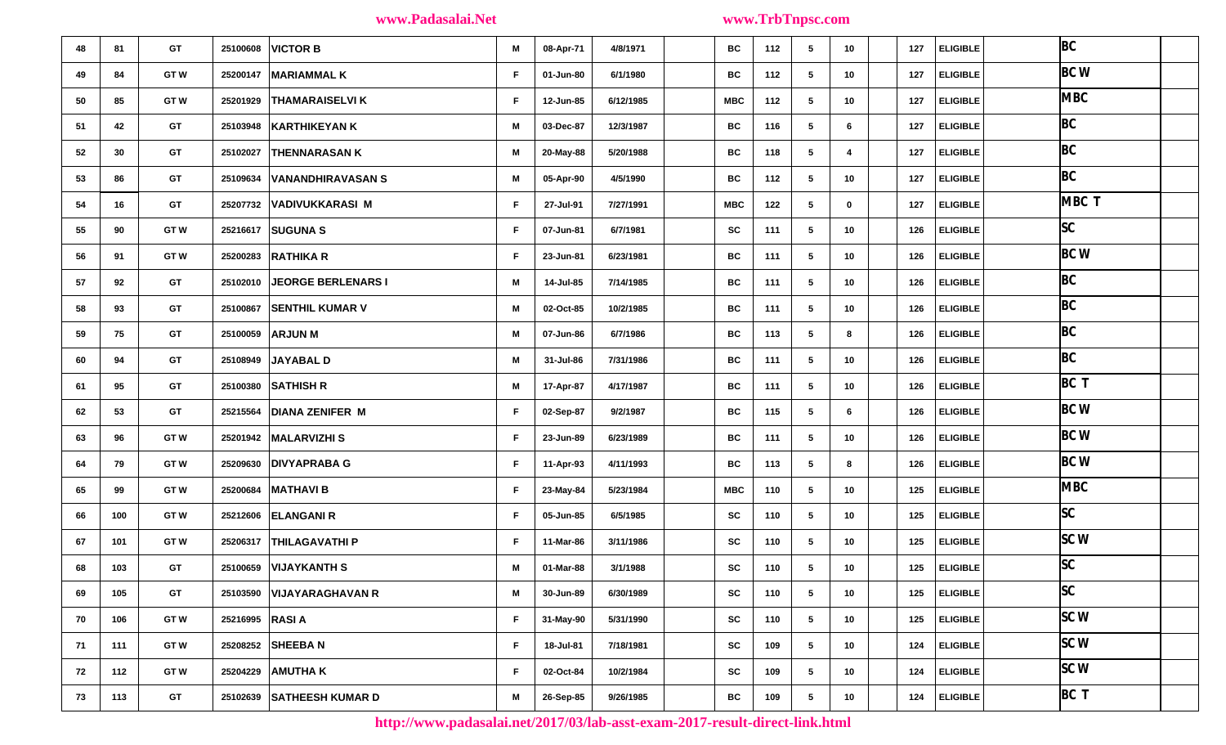| 48 | 81  | GT         | 25100608                | <b>VICTOR B</b>             | М  | 08-Apr-71 | 4/8/1971  | BC         | 112 | 5<br>10                        | 127 | <b>ELIGIBLE</b> | BC          |  |
|----|-----|------------|-------------------------|-----------------------------|----|-----------|-----------|------------|-----|--------------------------------|-----|-----------------|-------------|--|
| 49 | 84  | <b>GTW</b> | 25200147   MARIAMMAL K  |                             | F. | 01-Jun-80 | 6/1/1980  | ВC         | 112 | 10 <sub>1</sub><br>5           | 127 | <b>ELIGIBLE</b> | BC W        |  |
| 50 | 85  | <b>GTW</b> | 25201929                | <b>THAMARAISELVI K</b>      | F. | 12-Jun-85 | 6/12/1985 | MBC        | 112 | 10 <sub>1</sub><br>5           | 127 | <b>ELIGIBLE</b> | <b>MBC</b>  |  |
| 51 | 42  | <b>GT</b>  | 25103948                | <b>KARTHIKEYAN K</b>        | М  | 03-Dec-87 | 12/3/1987 | BC         | 116 | 6<br>5                         | 127 | <b>ELIGIBLE</b> | BC          |  |
| 52 | 30  | <b>GT</b>  |                         | 25102027 THENNARASAN K      | М  | 20-May-88 | 5/20/1988 | ВC         | 118 | 5<br>$\overline{4}$            | 127 | <b>ELIGIBLE</b> | BC          |  |
| 53 | 86  | GT         | 25109634                | VANANDHIRAVASAN S           | М  | 05-Apr-90 | 4/5/1990  | ВC         | 112 | 10<br>5                        | 127 | <b>ELIGIBLE</b> | BC          |  |
| 54 | 16  | <b>GT</b>  |                         | 25207732 VADIVUKKARASI M    | F. | 27-Jul-91 | 7/27/1991 | MBC        | 122 | $5\phantom{.0}$<br>$\mathbf 0$ | 127 | <b>ELIGIBLE</b> | MBC T       |  |
| 55 | 90  | <b>GTW</b> | 25216617                | <b>SUGUNA S</b>             | F. | 07-Jun-81 | 6/7/1981  | SC         | 111 | 5<br>10                        | 126 | <b>ELIGIBLE</b> | SC          |  |
| 56 | 91  | <b>GTW</b> | 25200283 RATHIKA R      |                             | F. | 23-Jun-81 | 6/23/1981 | ВC         | 111 | 10<br>5                        | 126 | <b>ELIGIBLE</b> | <b>BC W</b> |  |
| 57 | 92  | GT         |                         | 25102010 JEORGE BERLENARS I | М  | 14-Jul-85 | 7/14/1985 | BC         | 111 | 5<br>10                        | 126 | <b>ELIGIBLE</b> | BC          |  |
| 58 | 93  | <b>GT</b>  |                         | 25100867 SENTHIL KUMAR V    | M  | 02-Oct-85 | 10/2/1985 | BC         | 111 | 5<br>10 <sub>1</sub>           | 126 | <b>ELIGIBLE</b> | BC          |  |
| 59 | 75  | <b>GT</b>  | 25100059 ARJUN M        |                             | M  | 07-Jun-86 | 6/7/1986  | BC         | 113 | 5<br>8                         | 126 | <b>ELIGIBLE</b> | BC          |  |
| 60 | 94  | GT         | 25108949                | JAYABAL D                   | M  | 31-Jul-86 | 7/31/1986 | BC         | 111 | 10<br>5                        | 126 | <b>ELIGIBLE</b> | BC          |  |
| 61 | 95  | <b>GT</b>  | 25100380 SATHISH R      |                             | М  | 17-Apr-87 | 4/17/1987 | ВC         | 111 | 10 <sub>1</sub><br>5           | 126 | ELIGIBLE        | BC T        |  |
| 62 | 53  | GT         | 25215564                | <b>DIANA ZENIFER M</b>      | F. | 02-Sep-87 | 9/2/1987  | BC         | 115 | 6<br>5                         | 126 | <b>ELIGIBLE</b> | <b>BCW</b>  |  |
| 63 | 96  | <b>GTW</b> | 25201942   MALARVIZHI S |                             | F. | 23-Jun-89 | 6/23/1989 | BC         | 111 | 5<br>10 <sub>1</sub>           | 126 | <b>ELIGIBLE</b> | <b>BC W</b> |  |
| 64 | 79  | <b>GTW</b> | 25209630                | <b>DIVYAPRABA G</b>         | F. | 11-Apr-93 | 4/11/1993 | BC         | 113 | $5\phantom{.0}$<br>8           | 126 | <b>ELIGIBLE</b> | <b>BC W</b> |  |
| 65 | 99  | <b>GTW</b> | 25200684                | <b>MATHAVI B</b>            | F. | 23-May-84 | 5/23/1984 | <b>MBC</b> | 110 | 5<br>10                        | 125 | <b>ELIGIBLE</b> | <b>MBC</b>  |  |
| 66 | 100 | <b>GTW</b> | 25212606 ELANGANI R     |                             | F. | 05-Jun-85 | 6/5/1985  | <b>SC</b>  | 110 | 5<br>10                        | 125 | <b>ELIGIBLE</b> | SC          |  |
| 67 | 101 | <b>GTW</b> |                         | 25206317   THILAGAVATHI P   | F. | 11-Mar-86 | 3/11/1986 | SC         | 110 | 5<br>10                        | 125 | <b>ELIGIBLE</b> | SCW         |  |
| 68 | 103 | <b>GT</b>  | 25100659 VIJAYKANTH S   |                             | M  | 01-Mar-88 | 3/1/1988  | SC         | 110 | 5<br>10                        | 125 | <b>ELIGIBLE</b> | SC          |  |
| 69 | 105 | <b>GT</b>  |                         | 25103590 VIJAYARAGHAVAN R   | M  | 30-Jun-89 | 6/30/1989 | ${\sf sc}$ | 110 | $5\phantom{.0}$<br>10          | 125 | <b>ELIGIBLE</b> | SC          |  |
| 70 | 106 | <b>GTW</b> | 25216995 RASI A         |                             | F. | 31-May-90 | 5/31/1990 | SC         | 110 | 10<br>5                        | 125 | <b>ELIGIBLE</b> | SCW         |  |
| 71 | 111 | <b>GTW</b> | 25208252 SHEEBA N       |                             | F. | 18-Jul-81 | 7/18/1981 | <b>SC</b>  | 109 | 10 <sub>1</sub><br>5           | 124 | <b>ELIGIBLE</b> | SCW         |  |
| 72 | 112 | <b>GTW</b> | 25204229 AMUTHA K       |                             | F. | 02-Oct-84 | 10/2/1984 | SC         | 109 | 5<br>10 <sub>1</sub>           | 124 | <b>ELIGIBLE</b> | SCW         |  |
| 73 | 113 | <b>GT</b>  |                         | 25102639 SATHEESH KUMAR D   | М  | 26-Sep-85 | 9/26/1985 | BC         | 109 | 10<br>5                        | 124 | <b>ELIGIBLE</b> | BC T        |  |

**http://www.padasalai.net/2017/03/lab-asst-exam-2017-result-direct-link.html**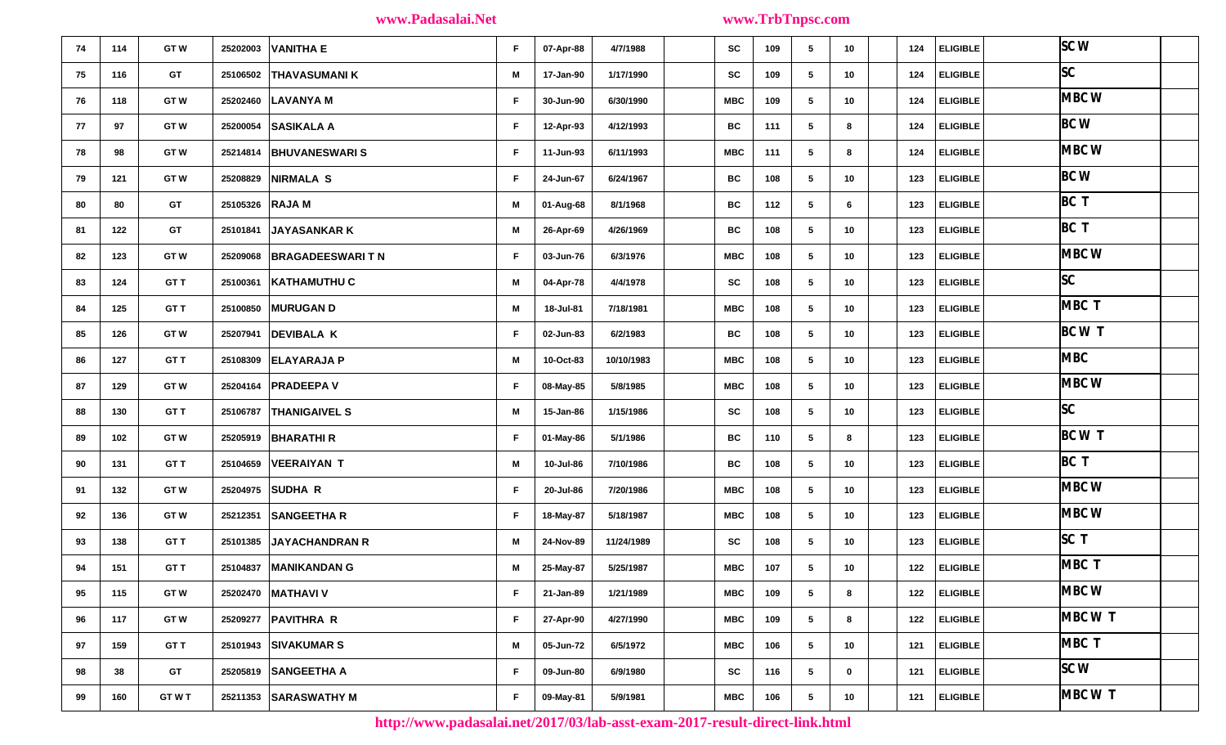| 74 | 114 | <b>GTW</b>  | 25202003        | <b>VANITHA E</b>         | F. | 07-Apr-88 | 4/7/1988   | <b>SC</b>  | 109 | 5<br>10               | 124 | <b>ELIGIBLE</b>  | SCW         |         |  |
|----|-----|-------------|-----------------|--------------------------|----|-----------|------------|------------|-----|-----------------------|-----|------------------|-------------|---------|--|
| 75 | 116 | GT          | 25106502        | <b>THAVASUMANIK</b>      | M  | 17-Jan-90 | 1/17/1990  | <b>SC</b>  | 109 | 5<br>10               | 124 | ELIGIBLE         | SC          |         |  |
| 76 | 118 | <b>GTW</b>  | 25202460        | <b>LAVANYA M</b>         | F. | 30-Jun-90 | 6/30/1990  | MBC        | 109 | $5\phantom{.0}$<br>10 | 124 | ELIGIBLE         |             | MBC W   |  |
| 77 | 97  | <b>GTW</b>  | 25200054        | <b>SASIKALA A</b>        | F. | 12-Apr-93 | 4/12/1993  | BC         | 111 | 5<br>8                | 124 | ELIGIBLE         | BCW         |         |  |
| 78 | 98  | <b>GTW</b>  |                 | 25214814   BHUVANESWARIS | F. | 11-Jun-93 | 6/11/1993  | MBC        | 111 | 5<br>8                | 124 | <b>ELIGIBLE</b>  |             | MBC W   |  |
| 79 | 121 | <b>GTW</b>  | 25208829        | <b>NIRMALA S</b>         | F. | 24-Jun-67 | 6/24/1967  | ВC         | 108 | 10 <sub>1</sub><br>5  | 123 | ELIGIBLE         | <b>BC W</b> |         |  |
| 80 | 80  | GT          | 25105326 RAJA M |                          | М  | 01-Aug-68 | 8/1/1968   | BC         | 112 | $5\phantom{.0}$<br>6  | 123 | ELIGIBLE         | BC T        |         |  |
| 81 | 122 | <b>GT</b>   | 25101841        | <b>JAYASANKAR K</b>      | M  | 26-Apr-69 | 4/26/1969  | BC         | 108 | 5<br>10               | 123 | <b>ELIGIBLE</b>  | BC T        |         |  |
| 82 | 123 | <b>GTW</b>  | 25209068        | <b>BRAGADEESWARITN</b>   | F. | 03-Jun-76 | 6/3/1976   | MBC        | 108 | 5<br>10 <sub>1</sub>  | 123 | ELIGIBLE         |             | MBC W   |  |
| 83 | 124 | GT T        | 25100361        | <b>KATHAMUTHU C</b>      | M  | 04-Apr-78 | 4/4/1978   | <b>SC</b>  | 108 | 10<br>5               | 123 | ELIGIBLE         | SC          |         |  |
| 84 | 125 | GT T        | 25100850        | <b>MURUGAN D</b>         | M  | 18-Jul-81 | 7/18/1981  | MBC        | 108 | 5<br>10               | 123 | ELIGIBLE         |             | MBC T   |  |
| 85 | 126 | <b>GTW</b>  | 25207941        | <b>DEVIBALA K</b>        | F. | 02-Jun-83 | 6/2/1983   | BC         | 108 | $5\phantom{.0}$<br>10 | 123 | ELIGIBLE         |             | BC W T  |  |
| 86 | 127 | GT T        | 25108309        | <b>ELAYARAJA P</b>       | M  | 10-Oct-83 | 10/10/1983 | MBC        | 108 | 10<br>5               | 123 | <b>ELIGIBLE</b>  | <b>MBC</b>  |         |  |
| 87 | 129 | <b>GTW</b>  |                 | 25204164   PRADEEPA V    | F. | 08-May-85 | 5/8/1985   | MBC        | 108 | 5<br>10 <sub>1</sub>  | 123 | <b>ELIGIBLE</b>  |             | MBC W   |  |
| 88 | 130 | GT T        | 25106787        | <b>THANIGAIVEL S</b>     | M  | 15-Jan-86 | 1/15/1986  | <b>SC</b>  | 108 | 10<br>5               | 123 | ELIGIBLE         | SC          |         |  |
| 89 | 102 | <b>GTW</b>  | 25205919        | <b>BHARATHIR</b>         | F. | 01-May-86 | 5/1/1986   | BC         | 110 | 5<br>8                | 123 | <b>ELIGIBLE</b>  |             | $BCW$ T |  |
| 90 | 131 | GT T        | 25104659        | <b>VEERAIYAN T</b>       | M  | 10-Jul-86 | 7/10/1986  | BC         | 108 | $5\phantom{.0}$<br>10 | 123 | <b>ELIGIBLE</b>  | $BC$ T      |         |  |
| 91 | 132 | <b>GTW</b>  | 25204975        | <b>SUDHA R</b>           | F. | 20-Jul-86 | 7/20/1986  | MBC        | 108 | 5<br>10 <sub>1</sub>  | 123 | <b>ELIGIBLE</b>  |             | MBC W   |  |
| 92 | 136 | <b>GTW</b>  | 25212351        | <b>SANGEETHA R</b>       | F. | 18-May-87 | 5/18/1987  | MBC        | 108 | 5<br>10               | 123 | ELIGIBLE I       |             | MBC W   |  |
| 93 | 138 | GT T        | 25101385        | <b>JAYACHANDRAN R</b>    | M  | 24-Nov-89 | 11/24/1989 | SC         | 108 | 5<br>10               | 123 | <b>ELIGIBLE</b>  | SCT         |         |  |
| 94 | 151 | GT T        | 25104837        | <b>MANIKANDAN G</b>      | M  | 25-May-87 | 5/25/1987  | MBC        | 107 | 5<br>10 <sub>1</sub>  | 122 | ELIGIBLE         |             | MBC T   |  |
| 95 | 115 | <b>GTW</b>  |                 | 25202470 MATHAVI V       | F. | 21-Jan-89 | 1/21/1989  | <b>MBC</b> | 109 | 5<br>8                | 122 | ELIGIBLE         |             | MBC W   |  |
| 96 | 117 | <b>GTW</b>  |                 | 25209277 PAVITHRA R      | F. | 27-Apr-90 | 4/27/1990  | <b>MBC</b> | 109 | 5<br>8                | 122 | $ $ ELIGIBLE $ $ |             | MBC W T |  |
| 97 | 159 | GT T        | 25101943        | <b>SIVAKUMAR S</b>       | M  | 05-Jun-72 | 6/5/1972   | <b>MBC</b> | 106 | 10<br>5               | 121 | <b>ELIGIBLE</b>  |             | MBC T   |  |
| 98 | 38  | <b>GT</b>   |                 | 25205819 SANGEETHA A     | F. | 09-Jun-80 | 6/9/1980   | <b>SC</b>  | 116 | 5<br>$\mathbf{0}$     | 121 | $ $ ELIGIBLE $ $ | SCW         |         |  |
| 99 | 160 | <b>GTWT</b> | 25211353        | <b>SARASWATHY M</b>      | F. | 09-May-81 | 5/9/1981   | <b>MBC</b> | 106 | 10<br>5               | 121 | $ $ ELIGIBLE $ $ |             | MBC W T |  |

**http://www.padasalai.net/2017/03/lab-asst-exam-2017-result-direct-link.html**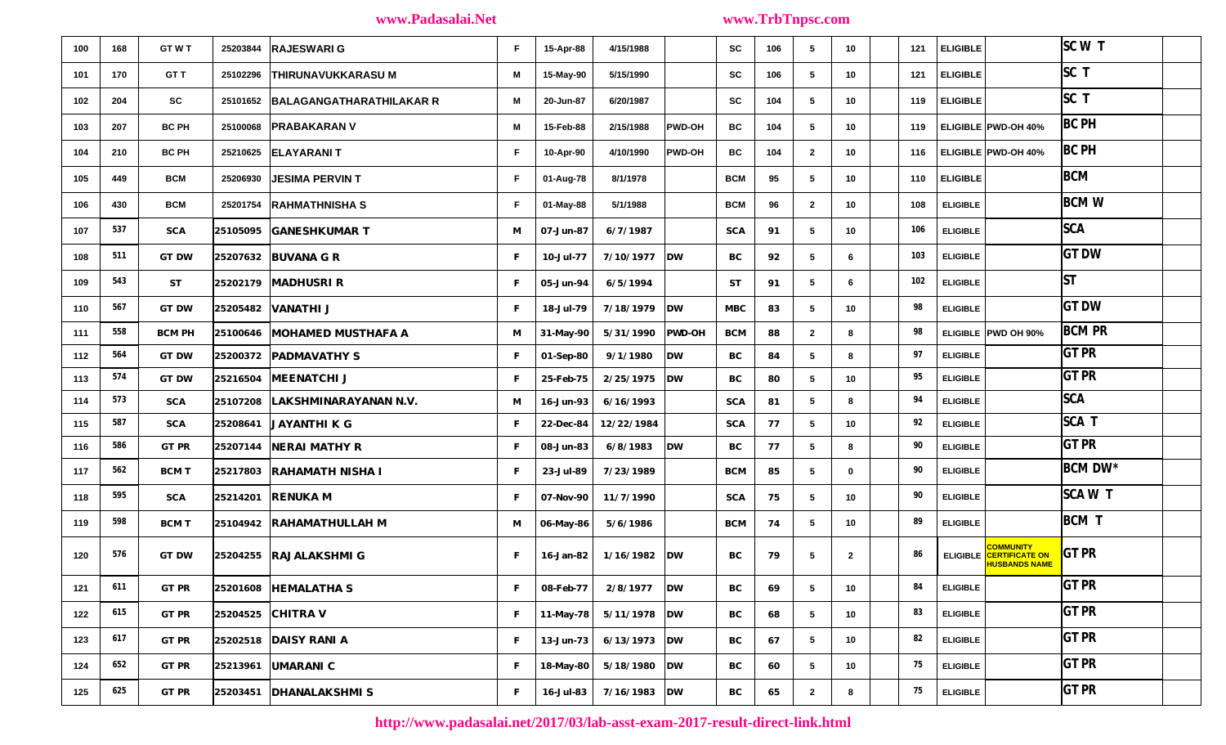| 100 | 168 | <b>GTWT</b>   | 25203844 RAJESWARI G                  | F.           | 15-Apr-88    | 4/15/1988                |                        | <b>SC</b>  | 106 | 5               | 10              | 121 | <b>ELIGIBLE</b> |                                                                            | SCW            |  |
|-----|-----|---------------|---------------------------------------|--------------|--------------|--------------------------|------------------------|------------|-----|-----------------|-----------------|-----|-----------------|----------------------------------------------------------------------------|----------------|--|
| 101 | 170 | GT T          | <b>THIRUNAVUKKARASU M</b><br>25102296 | М            | 15-May-90    | 5/15/1990                |                        | SC         | 106 | 5               | 10 <sup>1</sup> | 121 | <b>ELIGIBLE</b> |                                                                            | ISC T          |  |
| 102 | 204 | SC            | 25101652 BALAGANGATHARATHILAKAR R     | М            | 20-Jun-87    | 6/20/1987                |                        | <b>SC</b>  | 104 | 5               | 10 <sub>1</sub> | 119 | <b>ELIGIBLE</b> |                                                                            | SCT            |  |
| 103 | 207 | <b>BC PH</b>  | 25100068 PRABAKARAN V                 | М            | 15-Feb-88    | 2/15/1988                | <b>PWD-OH</b>          | ВC         | 104 | 5               | 10 <sub>1</sub> | 119 |                 | ELIGIBLE PWD-OH 40%                                                        | <b>BC PH</b>   |  |
| 104 | 210 | <b>BC PH</b>  | 25210625 ELAYARANI T                  | F.           | 10-Apr-90    | 4/10/1990                | <b>PWD-OH</b>          | BC         | 104 | $\overline{2}$  | 10 <sup>1</sup> | 116 |                 | ELIGIBLE PWD-OH 40%                                                        | <b>BC PH</b>   |  |
| 105 | 449 | <b>BCM</b>    | <b>JESIMA PERVIN T</b><br>25206930    | F.           | 01-Aug-78    | 8/1/1978                 |                        | <b>BCM</b> | 95  | 5               | 10              | 110 | <b>ELIGIBLE</b> |                                                                            | <b>BCM</b>     |  |
| 106 | 430 | <b>BCM</b>    | 25201754 RAHMATHNISHA S               | F.           | 01-May-88    | 5/1/1988                 |                        | <b>BCM</b> | 96  | $\overline{2}$  | 10 <sup>1</sup> | 108 | <b>ELIGIBLE</b> |                                                                            | <b>BCMW</b>    |  |
| 107 | 537 | <b>SCA</b>    | 25105095 GANESHKUMAR T                | M            | 07-Jun-87    | 6/7/1987                 |                        | <b>SCA</b> | 91  | 5               | 10 <sub>1</sub> | 106 | <b>ELIGIBLE</b> |                                                                            | <b>SCA</b>     |  |
| 108 | 511 | <b>GT DW</b>  | 25207632 BUVANA G R                   | $\mathbf{F}$ | $10-Jul-77$  | $7/10/1977$ DW           |                        | BC         | 92  | 5               | 6.              | 103 | <b>ELIGIBLE</b> |                                                                            | <b>GT DW</b>   |  |
| 109 | 543 | <b>ST</b>     | 25202179 MADHUSRI R                   | $\mathbf{F}$ | 05-Jun-94    | 6/5/1994                 |                        | <b>ST</b>  | 91  | 5               | 6.              | 102 | <b>ELIGIBLE</b> |                                                                            | lst            |  |
| 110 | 567 | <b>GT DW</b>  | 25205482 VANATHI J                    | F            | 18-Jul-79    | 7/18/1979                | $\mathbf{D}\mathbf{W}$ | <b>MBC</b> | 83  | 5               | 10              | 98  | <b>ELIGIBLE</b> |                                                                            | <b>GT DW</b>   |  |
| 111 | 558 | <b>BCM PH</b> | 25100646 MOHAMED MUSTHAFA A           | M            | $31$ -May-90 | 5/31/1990                | <b>PWD-OH</b>          | <b>BCM</b> | 88  | $\overline{2}$  | 8               | 98  |                 | ELIGIBLE PWD OH 90%                                                        | <b>BCM PR</b>  |  |
| 112 | 564 | <b>GT DW</b>  | 25200372 PADMAVATHY S                 | $\mathbf{F}$ | 01-Sep-80    | 9/1/1980                 | DW                     | BС         | 84  | 5               | 8               | 97  | <b>ELIGIBLE</b> |                                                                            | GTPR           |  |
| 113 | 574 | <b>GT DW</b>  | 25216504 MEENATCHI J                  | F            | 25-Feb-75    | 2/25/1975                | <b>DW</b>              | BС         | 80  | 5               | 10 <sub>1</sub> | 95  | <b>ELIGIBLE</b> |                                                                            | <b>GT PR</b>   |  |
| 114 | 573 | <b>SCA</b>    | 25107208 LAKSHMINARAYANAN N.V.        | M            | 16-Jun-93    | 6/16/1993                |                        | <b>SCA</b> | 81  | 5               | 8               | 94  | <b>ELIGIBLE</b> |                                                                            | <b>SCA</b>     |  |
| 115 | 587 | <b>SCA</b>    | 25208641 JAYANTHI K G                 | F            | 22-Dec-84    | 12/22/1984               |                        | <b>SCA</b> | 77  | 5               | 10              | 92  | <b>ELIGIBLE</b> |                                                                            | SCA T          |  |
| 116 | 586 | <b>GT PR</b>  | 25207144 NERAI MATHY R                | $\mathbf{F}$ | 08-Jun-83    | 6/8/1983                 | $\mathbf{D}\mathbf{W}$ | BС         | 77  | 5               | 8               | 90  | <b>ELIGIBLE</b> |                                                                            | GTPR           |  |
| 117 | 562 | <b>BCM T</b>  | 25217803 RAHAMATH NISHA I             | F            | 23-Jul-89    | 7/23/1989                |                        | <b>BCM</b> | 85  | 5               | $\mathbf{0}$    | 90  | <b>ELIGIBLE</b> |                                                                            | <b>BCM DW*</b> |  |
| 118 | 595 | <b>SCA</b>    | 25214201 RENUKA M                     | F            | 07-Nov-90    | 11/7/1990                |                        | <b>SCA</b> | 75  | 5               | 10 <sup>1</sup> | 90  | <b>ELIGIBLE</b> |                                                                            | SCA W T        |  |
| 119 | 598 | <b>BCM T</b>  | 25104942 RAHAMATHULLAH M              | M            | 06-May-86    | 5/6/1986                 |                        | <b>BCM</b> | 74  | 5               | 10 <sub>1</sub> | 89  | <b>ELIGIBLE</b> |                                                                            | <b>BCMT</b>    |  |
| 120 | 576 | <b>GT DW</b>  | 25204255 RAJALAKSHMI G                | F            | 16-Jan-82    | 1/16/1982                | $\mathbf{D}\mathbf{W}$ | BC         | 79  | 5               | $\overline{2}$  | 86  |                 | <b>COMMUNITY</b><br><b>ELIGIBLE</b> CERTIFICATE ON<br><b>HUSBANDS NAME</b> | <b>GT PR</b>   |  |
| 121 | 611 | <b>GT PR</b>  | 25201608 HEMALATHA S                  | F            | 08-Feb-77    | $2/8/1977$ DW            |                        | BC         | 69  | 5               | 10              | 84  | ELIGIBLE        |                                                                            | $GT$ PR        |  |
| 122 | 615 | <b>GT PR</b>  | 25204525 CHITRA V                     | $\mathbf{F}$ |              | 11-May-78 $5/11/1978$ DW |                        | BС         | 68  | 5               | 10 <sub>1</sub> | 83  | <b>ELIGIBLE</b> |                                                                            | <b>GT PR</b>   |  |
| 123 | 617 | <b>GT PR</b>  | 25202518 DAISY RANI A                 | $\mathbf{F}$ | 13-Jun-73    | $6/13/1973$ DW           |                        | BC         | 67  | $5\overline{5}$ | 10 <sub>1</sub> | 82  | <b>ELIGIBLE</b> |                                                                            | GTPR           |  |
| 124 | 652 | <b>GT PR</b>  | 25213961 UMARANI C                    | $\mathbf{F}$ |              | 18-May-80 5/18/1980 DW   |                        | BC         | 60  | 5               | 10 <sub>1</sub> | 75  | <b>ELIGIBLE</b> |                                                                            | GTPR           |  |
| 125 | 625 | <b>GT PR</b>  | 25203451 DHANALAKSHMI S               | F            | 16-Jul-83    | 7/16/1983                | <b>DW</b>              | BC         | 65  | $\overline{2}$  | 8               | 75  | <b>ELIGIBLE</b> |                                                                            | $GT$ PR        |  |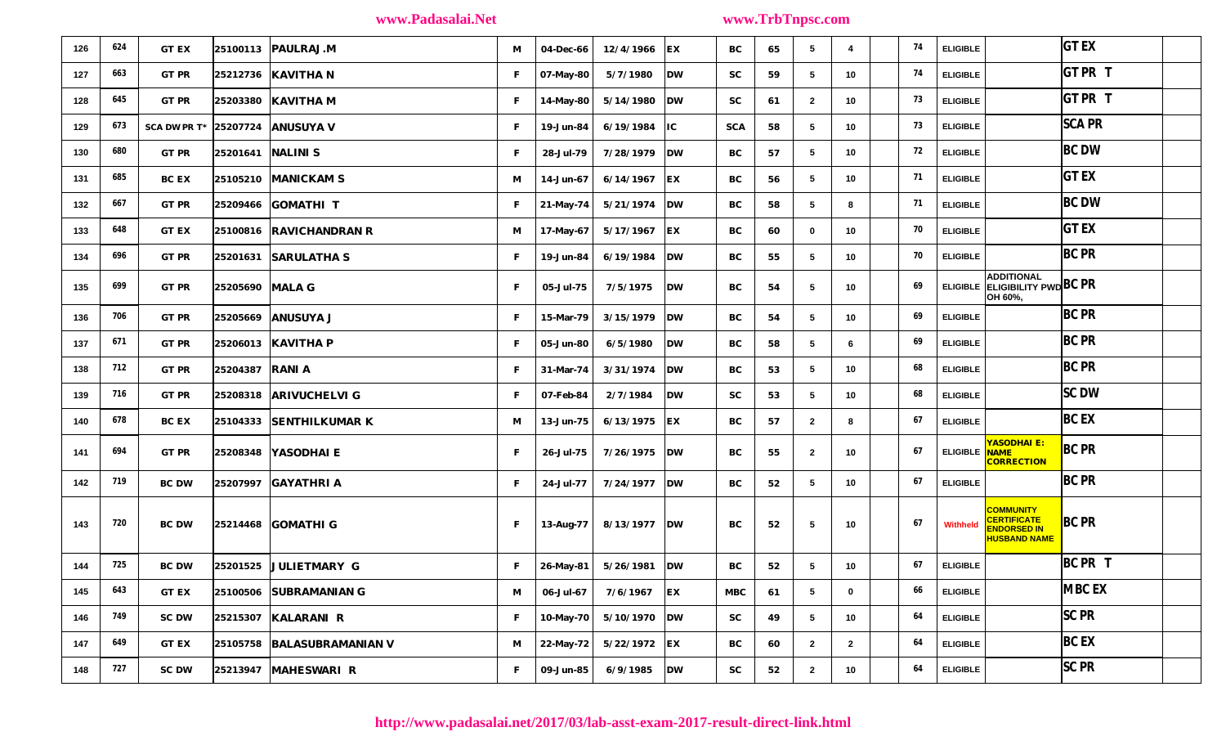| 126 | 624 | <b>GT EX</b>                       |                   | 25100113 PAULRAJ.M         | M            | 04-Dec-66         | 12/4/1966      | EX                      | BС            | 65 | 5               | 4               | 74 | <b>ELIGIBLE</b> |                                                                       | $GT$ EX       |  |
|-----|-----|------------------------------------|-------------------|----------------------------|--------------|-------------------|----------------|-------------------------|---------------|----|-----------------|-----------------|----|-----------------|-----------------------------------------------------------------------|---------------|--|
| 127 | 663 | <b>GT PR</b>                       |                   | 25212736   KAVITHA N       | F            | 07-May-80         | 5/7/1980       | $\mathbf{D}\mathbf{W}$  | <b>SC</b>     | 59 | 5               | 10              | 74 | <b>ELIGIBLE</b> |                                                                       | <b>GTPRT</b>  |  |
| 128 | 645 | <b>GT PR</b>                       |                   | 25203380 KAVITHA M         | $\mathbf{F}$ | 14-May-80         | $5/14/1980$ DW |                         | <b>SC</b>     | 61 | $\overline{2}$  | 10              | 73 | <b>ELIGIBLE</b> |                                                                       | GT PR T       |  |
| 129 | 673 | SCA DW PR $T^*$ 25207724 ANUSUYA V |                   |                            | $\mathbf{F}$ | 19-Jun-84         | 6/19/1984      | $\overline{\mathbf{I}}$ | <b>SCA</b>    | 58 | 5               | 10              | 73 | <b>ELIGIBLE</b> |                                                                       | <b>SCA PR</b> |  |
| 130 | 680 | <b>GT PR</b>                       | 25201641 NALINI S |                            | $\mathbf{F}$ | 28-Jul-79         | $7/28/1979$ DW |                         | BC            | 57 | 5               | 10              | 72 | <b>ELIGIBLE</b> |                                                                       | <b>BC DW</b>  |  |
| 131 | 685 | <b>BC EX</b>                       |                   | 25105210 MANICKAM S        | M            | 14-Jun-67         | 6/14/1967      | EX                      | BС            | 56 | 5               | 10 <sub>1</sub> | 71 | <b>ELIGIBLE</b> |                                                                       | <b>GT EX</b>  |  |
| 132 | 667 | <b>GT PR</b>                       |                   | 25209466 GOMATHI T         | $\mathbf{F}$ | $21$ -May-74      | $5/21/1974$ DW |                         | BC            | 58 | -5              | 8               | 71 | <b>ELIGIBLE</b> |                                                                       | <b>BC DW</b>  |  |
| 133 | 648 | <b>GT EX</b>                       |                   | 25100816 RAVICHANDRAN R    | M            | 17-May-67 $ $     | 5/17/1967      | EX                      | BC            | 60 | $\mathbf 0$     | 10              | 70 | <b>ELIGIBLE</b> |                                                                       | <b>GT EX</b>  |  |
| 134 | 696 | <b>GT PR</b>                       |                   | $ 25201631 $ SARULATHA S   | $\mathbf{F}$ | 19-Jun-84         | 6/19/1984      | $\mathbf{D}\mathbf{W}$  | BС            | 55 | 5               | 10              | 70 | <b>ELIGIBLE</b> |                                                                       | <b>BC PR</b>  |  |
| 135 | 699 | <b>GT PR</b>                       | 25205690 MALA G   |                            | $\mathbf{F}$ | 05-Jul-75         | 7/5/1975       | DW                      | BC            | 54 | 5               | 10              | 69 |                 | ADDITIONAL<br>ELIGIBLE ELIGIBILITY PWD BC PR<br>OH 60%,               |               |  |
| 136 | 706 | <b>GT PR</b>                       |                   | 25205669 ANUSUYA J         | $\mathbf{F}$ | 15-Mar-79         | 3/15/1979      | $\mathbf{D}\mathbf{W}$  | BС            | 54 | 5               | 10              | 69 | <b>ELIGIBLE</b> |                                                                       | <b>BC PR</b>  |  |
| 137 | 671 | <b>GT PR</b>                       |                   | 25206013 KAVITHA P         | $\mathbf{F}$ | 05-Jun-80         | 6/5/1980       | DW                      | BC            | 58 | 5               | 6               | 69 | <b>ELIGIBLE</b> |                                                                       | <b>BC PR</b>  |  |
| 138 | 712 | <b>GT PR</b>                       | 25204387 RANI A   |                            | $\mathbf{F}$ | 31-Mar-74         | 3/31/1974      | $\mathbf{D}\mathbf{W}$  | BC            | 53 | 5               | 10              | 68 | <b>ELIGIBLE</b> |                                                                       | <b>BC PR</b>  |  |
| 139 | 716 | <b>GT PR</b>                       |                   | 25208318 ARIVUCHELVI G     | F            | 07-Feb-84         | 2/7/1984       | $\mathbf{D}\mathbf{W}$  | <b>SC</b>     | 53 | 5               | 10              | 68 | <b>ELIGIBLE</b> |                                                                       | <b>SC DW</b>  |  |
| 140 | 678 | <b>BC EX</b>                       |                   | 25104333 SENTHILKUMAR K    | M            | 13-Jun-75         | 6/13/1975      | EX                      | BС            | 57 | $\overline{2}$  | 8               | 67 | <b>ELIGIBLE</b> |                                                                       | BC EX         |  |
| 141 | 694 | <b>GT PR</b>                       |                   | 25208348 YASODHAI E        | $\mathbf{F}$ | <b>26-Jul-75</b>  | $7/26/1975$ DW |                         | BС            | 55 | $\overline{2}$  | 10              | 67 | ELIGIBLE NAME   | YASODHAI E:<br><b>CORRECTION</b>                                      | <b>BC PR</b>  |  |
| 142 | 719 | <b>BC DW</b>                       |                   | 25207997 GAYATHRI A        | $\mathbf{F}$ | 24-Jul-77         | 7/24/1977      | $\mathbf{D}\mathbf{W}$  | BC            | 52 | 5               | 10              | 67 | <b>ELIGIBLE</b> |                                                                       | <b>BC PR</b>  |  |
| 143 | 720 | <b>BC DW</b>                       |                   | 25214468 GOMATHI G         | $\mathbf{F}$ | 13-Aug-77         | $8/13/1977$ DW |                         | BC            | 52 | -5              | 10              | 67 | Withheld        | <b>COMMUNITY</b><br>CERTIFICATE<br>ENDORSED IN<br><b>HUSBAND NAME</b> | <b>BC PR</b>  |  |
| 144 | 725 | <b>BC DW</b>                       |                   | $25201525$ JULIETMARY G    | $\mathbf{F}$ | $ 26$ -May-81 $ $ | 5/26/1981      | $\mathbf{D}\mathbf{W}$  | BC            | 52 | 5               | 10              | 67 | <b>ELIGIBLE</b> |                                                                       | BC PR T       |  |
| 145 | 643 | <b>GT EX</b>                       |                   | 25100506 SUBRAMANIAN G     | M            | 06-Jul-67         | $7/6/1967$ EX  |                         | MBC           | 61 | 5               | 0               | 66 | <b>ELIGIBLE</b> |                                                                       | <b>MBC EX</b> |  |
| 146 | 749 | <b>SC DW</b>                       |                   | 25215307 KALARANI R        | $\mathbf{F}$ | 10-May-70         | $5/10/1970$ DW |                         | $\mathbf{SC}$ | 49 | $5\phantom{.0}$ | 10              | 64 | <b>ELIGIBLE</b> |                                                                       | $ SC$ PR      |  |
| 147 | 649 | <b>GT EX</b>                       |                   | 25105758 BALASUBRAMANIAN V | M            | 22-May-72         | $5/22/1972$ EX |                         | BC            | 60 | $\mathbf{2}$    | $\overline{2}$  | 64 | <b>ELIGIBLE</b> |                                                                       | BC EX         |  |
| 148 | 727 | <b>SC DW</b>                       | 25213947          | <b>MAHESWARI R</b>         | $\mathbf{F}$ | 09-Jun-85         | 6/9/1985       | $\mathbf{D}\mathbf{W}$  | $\mathbf{SC}$ | 52 | $\mathbf{2}$    | 10              | 64 | <b>ELIGIBLE</b> |                                                                       | $ SC$ PR      |  |